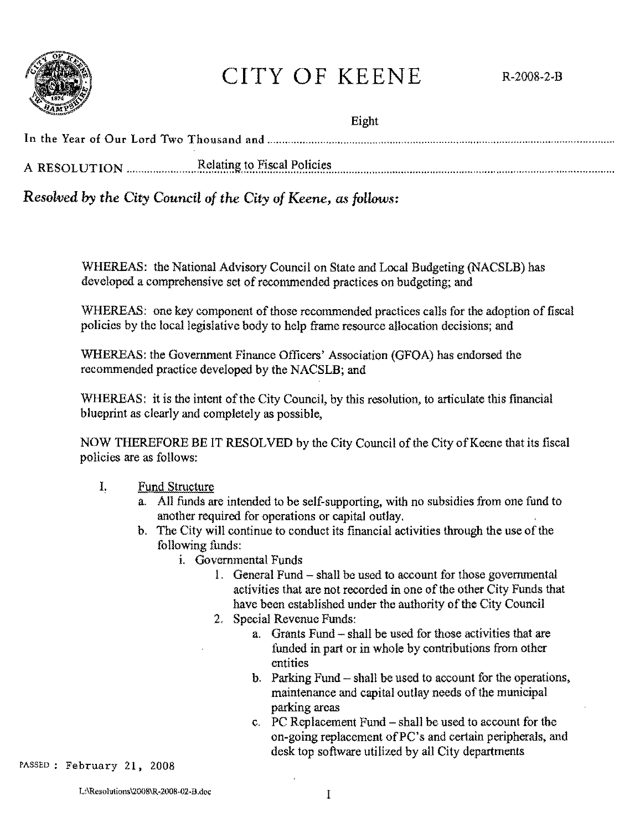

# CITY OF KEENE R-2008-2-B

Eight

## *Resolved* by *the City Council of the City of Keene, as follows:*

WHEREAS: the National Advisory Council on State and Local Budgeting (NACSLB) has developed a comprehensive set of recommended practices on budgeting; and

WHEREAS: one key eomponent of those recommended practices calls for the adoption of fiscal policies by the local legislative body to help frame resource allocation decisions; and

WHEREAS: the Government Finance Officers' Association (GFOA) has endorsed the recommended practice developed by the NACSLB; and

WHEREAS: it is the intent of the City Council, by this resolution, to articulate this financial blueprint as clearly and completely as possible,

NOW THEREFORE BE IT RESOLVED by the City Council of the City of Keene that its fiscal policies are as follows:

- I. Fund Structure
	- a. All funds are intended to be self-supporting, with no subsidies from one fund to another required for operations or capital outlay.
	- b. The City will continue to conduct its financial activities through the use of the following funds:
		- i. Governmental Funds
			- I. General Fund shall be used to account for those govemmental activities that are not recorded in one of the other City Funds that have been established under the authority of the City Council
			- 2. Special Revenue Funds:
				- a. Grants Fund shall be used for those activities that are funded in part or in whole by contributions from other entities
				- b. Parking Fund shall be used to account for the operations, maintenance and capital outlay needs of the municipal parking areas
				- c. PC Replacement Fund shall be used to account for the on-going replacement of PC's and certain peripherals, and desk top software utilized by all City departments

PASSED: February 21, 2008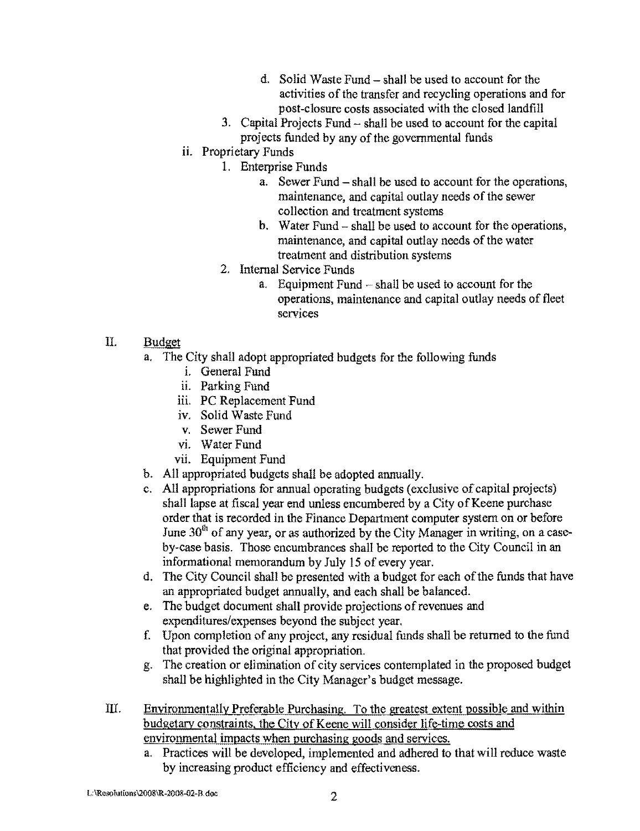- d. Solid Waste Fund shall be used to account for the activities of the transfer and recycling operations and for post-closure costs associated with the closed landfill
- 3. Capital Projects Fund  $-$  shall be used to account for the capital projects funded by any of the governmental funds
- ii. Proprietary Funds
	- 1. Enterprise Funds
		- a. Sewer Fund shall be used to account for the operations, maintenance, and capital outlay needs of the sewer collection and treatment systems
		- b. Water Fund shall be used to account for the operations, maintenance, and capital outlay needs of the water treatment and distribution systems
	- 2. Internal Service Funds
		- a. Equipment Fund  $-$  shall be used to account for the operations, maintenance and capital outlay needs of fleet services

### II. Budget

- a. The City shall adopt appropriated budgets for the following funds
	- i. General Fund
	- ii. Parking Fund
	- iii. PC Replacement Fund
	- IV. Solid Waste Fund
	- v. Sewer Fund
	- VI. Water Fund
	- vii. Equipment Fund
- b. All appropriated budgets shall be adopted annually.
- c. All appropriations for annual operating budgets (exclusive of capital projects) shall lapse at fiscal year end unless encumbered by a City of Keene purchase order that is recorded in the Finance Department computer system on or before June  $30<sup>th</sup>$  of any year, or as authorized by the City Manager in writing, on a caseby-case basis. Those encumbrances shall be reported to the City Council in an informational memorandum by July 15 of every year.
- d. The City Council shaIl be presented with a budget for eaeh of the funds that have an appropriated budget annually, and each shall be balanced.
- e. The budget document shall provide projections of revenues and expenditures/expenses beyond the subject year.
- f. Upon completion of any project, any residual funds shall be returned to the fund that provided the original appropriation.
- g. The creation or elimination of city services contemplated in the proposed budget shall be highlighted in the City Manager's budget message.
- III. Enviromnentally Preferable Purchasing. To the greatest extent possible and within budgetary constraints, the City of Keene will consider life-time costs and enviromnental impacts when purchasing goods and services.
	- a. Practices will be developed, implemented and adhered to that will reduce waste by increasing product efficiency and effectiveness.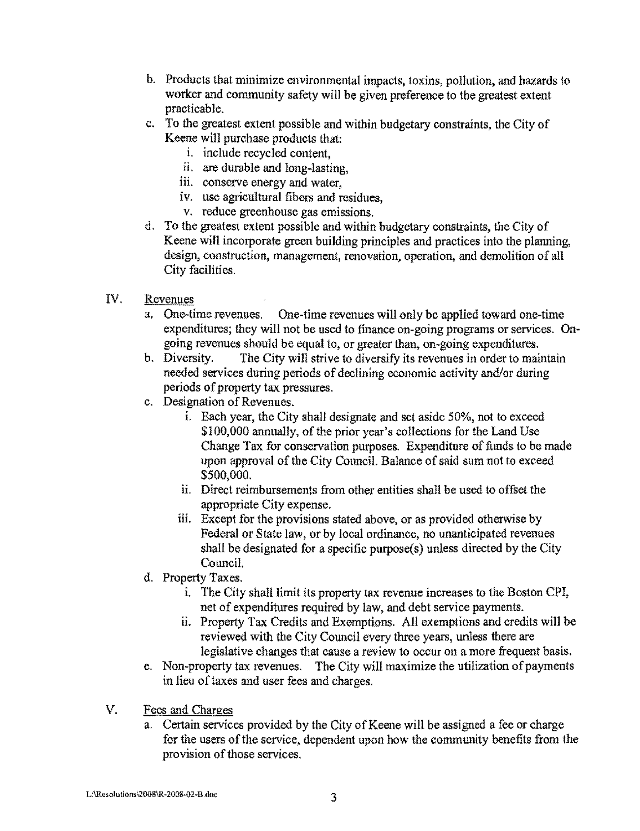- b. Products that minimize environmental impacts, toxins, pollution, and hazards to worker and community safety will be given preference to the greatest extent practicable.
- c. To the greatest extent possible and within budgetary constraints, the City of Keene will purchase products that:
	- i. include recycled content,
	- ii. are durable and long-lasting,
	- iii. conserve energy and water,
	- iv. use agricultural fibers and residues,
	- v. reduce greenhouse gas emissions.
- d. To the greatest extent possible and within budgetary constraints, the City of Keene will incorporate green building principles and practices into the planning, design, construction, management, renovation, operation, and demolition of all City facilities.
- IV. Revenues
	- a. One-time revenues. One-time revenues will only be applied toward one-time expenditures; they will not be used to finanee on-going programs or services. Ongoing revenues should be equal to, or greater than, on-going expenditures.
	- b. Diversity. The City will strive to diversify its revenues in order to maintain needed services during periods of declining economic activity and/or during periods of property tax pressures.
	- c. Designation of Revenues.
		- 1. Each year, the City shall designate and set aside 50%, not to exceed \$100,000 annually, of the prior year's eollections for the Land Use Change Tax for conservation purposes. Expenditure of funds to be made upon approval of the City Council. Balance of said sum not to exceed \$500,000.
		- ii. Direct reimbursements from other entities shall be used to offset the appropriate City expense.
		- iii. Except for the provisions stated above, or as provided otherwise by Federal or State law, or by local ordinance, no unanticipated revenues shall be designated for a specific purpose(s) unless directed by the City Council.
	- d. Property Taxes.
		- i. The City shall limit its property tax revenue increases to the Boston CPI, net of expenditures required by law, and debt service payments.
		- ii. Property Tax Credits and Exemptions. All exemptions and credits will be reviewed with the City Council every three years, unless there are legislative changes that cause a review to occur on a more frequent basis.
	- e. Non-property tax revenues. The City will maximize the utilization of payments in lieu of taxes and user fees and charges.
- v. Fees and Charges
	- a. Certain services provided by the City of Keene will be assigned a fee or charge for the users of the service, dependent upon how the community benefits from the provision of those serviees.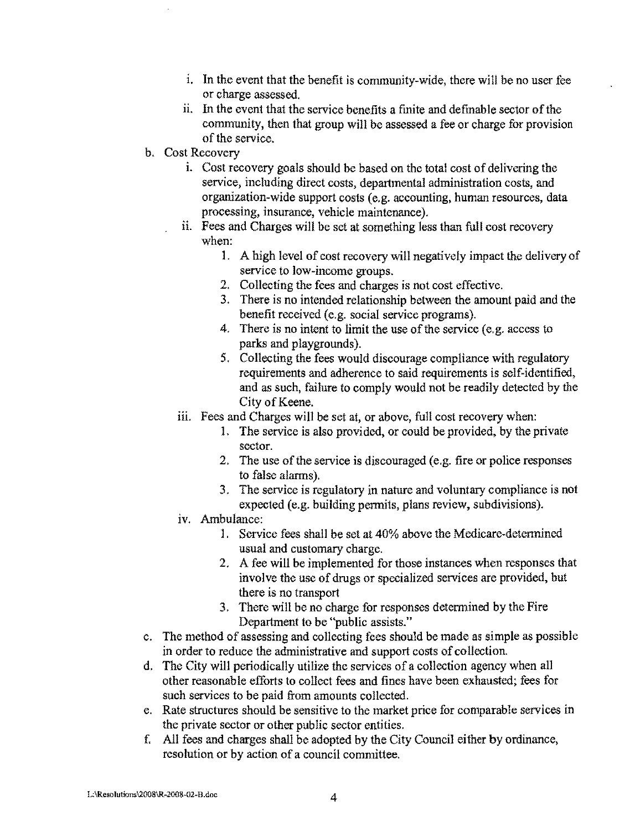- 1. In the event that the benefit is community-wide, there will be no user fee or eharge assessed.
- ii. In the event that the service benefits a finite and definable sector of the community, then that group will be assessed a fee or charge for provision of the service.
- b. Cost Recovery
	- 1. Cost recovery goals should be based on the total eost of delivering the service, including direct eosts, departmental administration costs, and organization-wide support costs (e.g. accounting, human resources, data processing, insurance, vehicle maintenance).
	- ii. Fees and Charges will be set at something less than full cost recovery when:
		- 1. A high level of cost recovery will negatively impact the delivery of service to low-income groups.
		- 2. Collecting the fees and charges is not eost effective.
		- 3. There is no intended relationship between the amount paid and the benefit received (e.g. social service programs).
		- 4. There is no intent to limit the use of the service (e.g. access to parks and playgrounds).
		- 5. Collecting the fees would discourage compliance with regulatory requirements and adherence to said requirements is self-identified, and as such, failure to comply would not be readily detected by the City of Keene.
	- iii. Fees and Charges will be set at, or above, full cost recovery when:
		- 1. The service is also provided, or eould be provided, by the private sector.
		- 2. The use of the service is discouraged (e.g. fire or police responses to false alarms).
		- 3. The service is regulatory in nature and voluntary compliance is not expected (e.g. building permits, plans review, subdivisions).
	- iv. Ambulance:
		- 1. Service fees shall be set at 40% above the Medicare-determined usual and customary charge.
		- 2. A fee will be implemented for those instances when responses that involve the use of drugs or specialized services are provided, but there is no transport
		- 3. There will be no charge for responses determined by the Fire Department to be "public assists."
- c. The method of assessing and collecting fces should be made as simple as possible in order to reduce the administrative and support costs of collection.
- d. The City will periodically utilize the services of a collection agency when all other reasonab Ie efforts to collect fees and fines have been exhausted; fees for such services to be paid from amounts collected.
- e. Rate structures should be sensitive to the market priee for comparable services in the private sector or other public sector entities.
- f. All fees and charges shall be adopted by the City Council either by ordinance, resolution or by action of a council committee.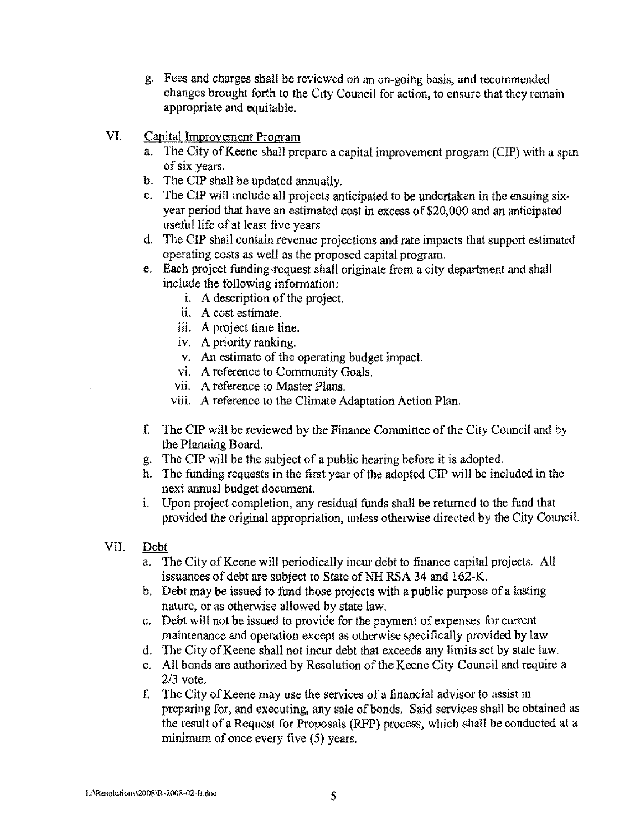- g. Fees and charges shall be reviewed on an on-going basis, and recommended changes brought forth to the City Council for action, to ensure that they remain appropriate and equitable.
- **VI.** Capital Improvement Program
	- a. The City of Keene shall prepare a capital improvement program (CIP) with a span of six years.
	- b. The CIP shall be updated annually.
	- c. The CIP will include all projects anticipated to be undertaken in the ensuing sixyear period that have an estimated cost in excess of \$20,000 and an anticipated useful life of at least five years.
	- d. The CIP shall contain revenue projections and rate impacts that support estimated operating costs as well as the proposed capital program.
	- e. Each project funding-request shall originate from a city department and shall include the following information:
		- i. A description of the project.
		- ii. A cost estimate.
		- iii. A project time line.
		- iv. A priority ranking.
		- v. An estimate of the operating budget impact.
		- VI. A reference to Community Goals.
		- vii. A reference to Master Plans.
		- viii. A reference to the Climate Adaptation Action Plan.
	- f. The CIP will be reviewed by the Finance Committee of the City Council and by the Planning Board.
	- g. The CIP will be the subject of a public hearing before it is adopted.
	- h. The funding requests in the first year of the adopted CIP will be included in the next annual budget document.
	- i. Upon project completion, any residual funds shall be returned to the fund that provided the original appropriation, unless otherwise directed by the City CounciL
- VII. Debt
	- a. The City of Keene will periodically incur debt to finance capital projects. All issuances of debt are subject to State of NH RSA 34 and 162-K.
	- b. Debt may be issued to fund those projects with a public purpose of a lasting nature, or as otherwise allowed by state law.
	- c. Debt will not be issued to provide for the payment of expenses for current maintenance and operation except as otherwise specifically provided by law
	- d. The City of Keene shall not incur debt that exceeds any limits set by state law.
	- e. AU bonds are authorized by Resolution of the Keene City Council and require a *2/3* vote.
	- f. The City of Keene may use the services of a financial advisor to assist in preparing for, and executing, any sale of bonds. Said services shall be obtained as the result of a Request for Proposals (RFP) precess, which shall be conducted at a minimum of once every five (5) years.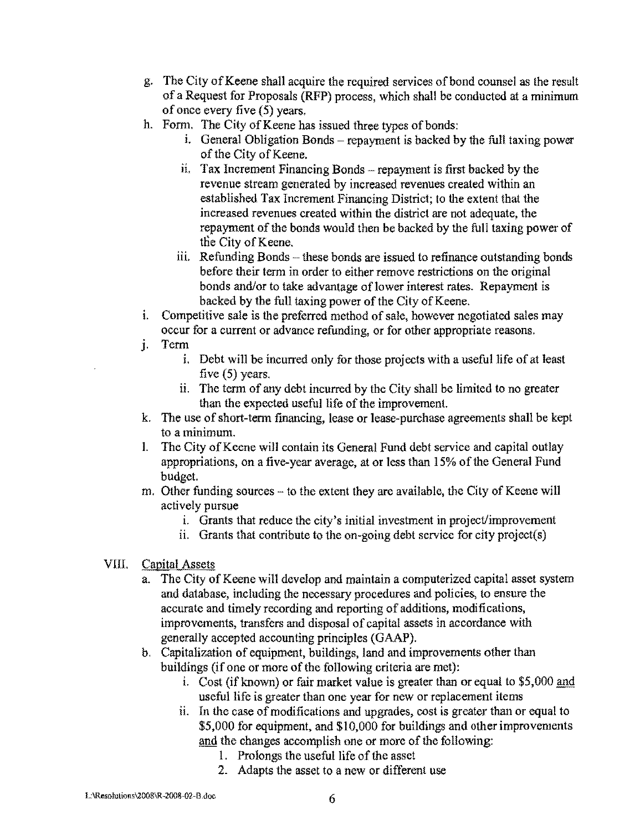- g. The City of Keene shall aequire the required services of bond counsel as the result of a Request for Proposals (RFP) process, which shall be conducted at a minimum of once every five (5) years.
- h. Form. The City of Keene has issued three types of bonds:
	- i. General Obligation Bonds repayment is backed by the full taxing power of the City of Keene.
	- ii. Tax Increment Financing Bonds repayment is first backed by the revenue stream generated by increased revenues created within an established Tax Increment Financing District; to the extent that the increased revenues created within 1he district are not adequate, the repayment of the bonds would then be backed by the full taxing power of the City of Keene.
	- iii. Refunding Bonds these bonds are issued to refinance outstanding bonds before their term in order to either remove restrictions on the original bonds and/or to take advantage of lower interest rates. Repayment is backed by the full taxing power of the City of Keene.
- i. Competitive sale is the preferred method of sale, however negotiated sales may occur for a current or advance refunding, or for other appropriate reasons.
- j. Term
	- i. Debt will be incurred only for those projects with a useful life of at least five (5) years.
	- i. The term of any debt incurred by the City shall be limited to no greater than the expected useful life of the improvement.
- k. The use of short-term financing, lease or lease-purchase agreements shall be kept to a minimum.
- I. The City of Keene will contain its General Fund debt service and capital outlay appropriations, on a five-year average, at or less than 15% of the General Fund budget.
- m. Other funding sources to the extent they are available, the City of Keene will actively pursue
	- i. Grants that reduce the city's initial investment in project/improvement
	- ii. Grants that contribute to the on-going debt service for city project(s)

#### VIII. Capital Assets

- a. The City of Keene will develop and maintain a computerized capital asset system and database, including the necessary procedures and policies, to ensure the accurate and timely recording and reporting of additions, modifications, improvements, transfers and disposal of capital assets in accordance with generally accepted accounting principles (GAAP).
- b. Capitalization of equipment, buildings, land and improvements other than buildings (if one or more of the following criteria are met):
	- i. Cost (if known) or fair market value is greater than or equal to \$5,000 and useful life is greater than one year for new or replacement items
	- ii. In the case of modifications and upgrades, cost is greater than or equal to \$5,000 for equipment, and \$10,000 for buildings and other improvements and the changes accomplish one or more of the following:
		- I. Prolongs the useful life of the asset
		- 2. Adapts the asset to a new or different use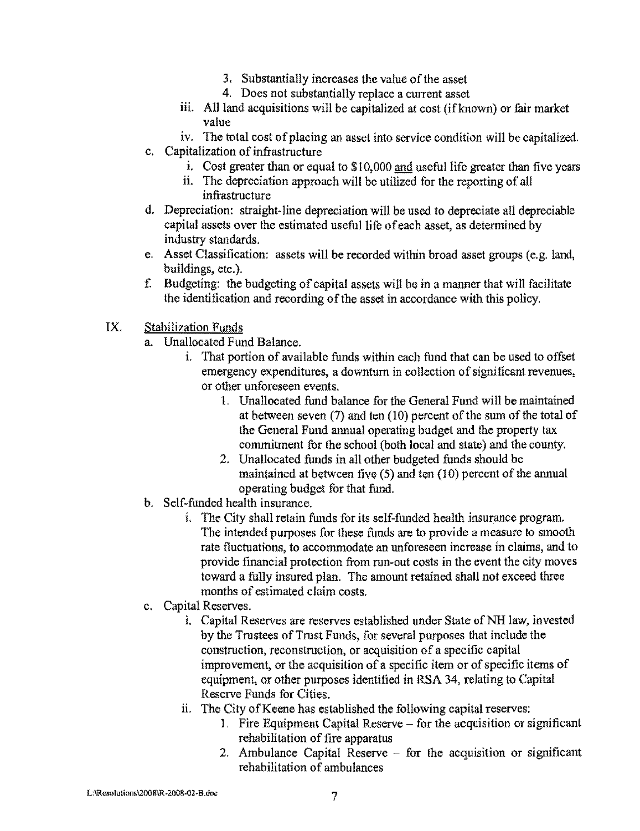- 3. Substantially increases the value of the asset
- 4. Does not substantially replace a current asset
- iii. All land acquisitions will be capitalized at cost (if known) or fair market value
- iv. The total cost of placing an asset into service condition will be capitalized.
- c. Capitalization of infrastructure
	- i. Cost greater than or equal to \$10,000 and useful life greater than five years
	- ii. The depreciation approach will be utilized for the reporting of all infrastructure
- d. Depreciation: straight-line depreciation will be used to depreciate all depreciable capital assets over the estimated useful life of each asset, as determined by industry standards.
- e. Asset Classifieation: assets will be recorded within broad asset groups (e.g. land, buildings, etc.).
- f. Budgeting: the budgeting of eapital assets will be in a manner that will facilitate the identification and recording of the asset in accordance with this policy.
- IX. Stabilization Funds
	- a. Unallocated Fund Balance.
		- 1. That portion of available funds within each fund that can be used to offset emergency expenditures, a downturn in collection of significant revenues, or other unforeseen events.
			- 1. Unallocated fund balance for the General Fund will be maintained at between seven (7) and ten (10) percent of the sum of the total of the General Fund annual operating budget and the property tax commitment for the school (both local and state) and the county.
			- 2. Unalloeated funds in all other budgeted funds should be maintained at between five (5) and ten (10) percent of the annual operating budget for that fund.
	- b. Self-funded health insuranee.
		- i. The City shall retain funds for its self-funded health insurance program. The intended purposes for these funds are to provide a measure to smooth rate fluctuations, to accommodate an unforeseen increase in claims, and to provide financial protection from run-out costs in the event the city moves toward a fully insured plan. The amount retained shall not exceed three months of estimated claim costs.
	- c. Capital Reserves.
		- 1. Capital Reserves are reserves established under State of NH law, invested by the Trustees of Trust Funds, for several purposes that include the construction, reconstruction, or acquisition of a specific capital improvement, or the acquisition of a specific item or of specific items of equipment, or other purposes identified in RSA 34, relating to Capital Reserve Funds for Cities.
		- ii. The City of Keene has established the following capital reserves:
			- 1. Fire Equipment Capital Reserve for the acquisition or significant rehabilitation of fire apparatus
			- 2. Ambulance Capital Reserve  $-$  for the acquisition or significant rehabilitation of ambulances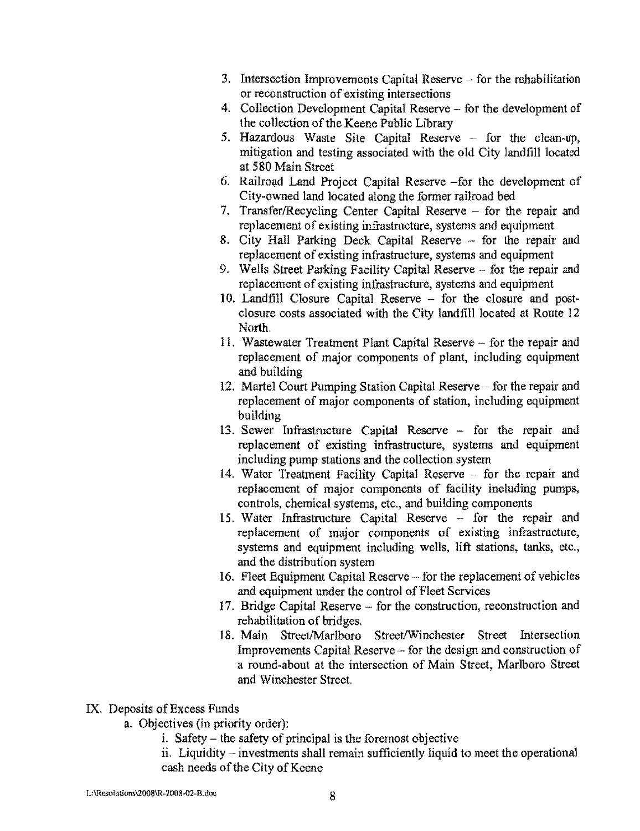- 3. Intersection Improvements Capital Reserve for the rehabilitation or reconstruction of existing intersections
- 4. Collection Development Capital Reserve for the development of the collection of the Keene Public Library
- 5. Hazardous Waste Site Capital Reserve for the clean-up, mitigation and testing associated with the old City landfill located at 580 Main Street
- 6. Railroad Land Project Capital Reserve -for the development of City-owned land located along the former railroad bed
- 7. Transfer/Recycling Center Capital Reserve for the repair and replacement of existing infrastructure, systems and equipment
- 8. City Hall Parking Deck Capital Reserve ~ for the repair and replacement of existing infrastructure, systems and equipment
- 9. Wells Street Parking Facility Capital Reserve for the repair and replacement of existing infrastructure, systems and equipment
- 10. Landfill Closure Capital Reserve for the closure and postclosure costs associated with the City landfill located at Route 12 North.
- 11. Wastewater Treatment Plant Capital Reserve for the repair and replacement of major components of plant, including equipment and building
- 12. Martel Court Pumping Station Capital Reserve for the repair and replacement of major components of station, including equipment building
- 13. Sewer Infrastructure Capital Reserve for the repair and replacement of existing infrastructure, systems and equipment including pump stations and the collection system
- 14. Water Treatment Facility Capital Reserve for the repair and replacement of major components of facility including pumps, controls, chemical systems, etc., and building components
- 15 . Water Infrastructure Capital Reserve for the repair and replacement of major components of existing infrastructure, systems and equipment including wells, lift stations, tanks, etc., and the distribution system
- 16. Fleet Equipment Capital Reserve  $-$  for the replacement of vehicles and equipment under the control of Fleet Services
- 17. Bridge Capital Reserve for the construction, reconstruction and rehabilitation of bridges.
- 18. Main Street/Marlboro Street/Winchester Street Intersection Improvements Capital Reserve  $-$  for the design and construction of a round-about at the intersection of Main Street, Marlboro Street and Winchester Street.

#### IX. Deposits of Excess Funds

- a. Objectives (in priority order):
	- i. Safety the safety of principal is the foremost objective
	- ii. Liquidity investments shall remain sufficiently liquid to meet the operational cash needs of the City of Keene